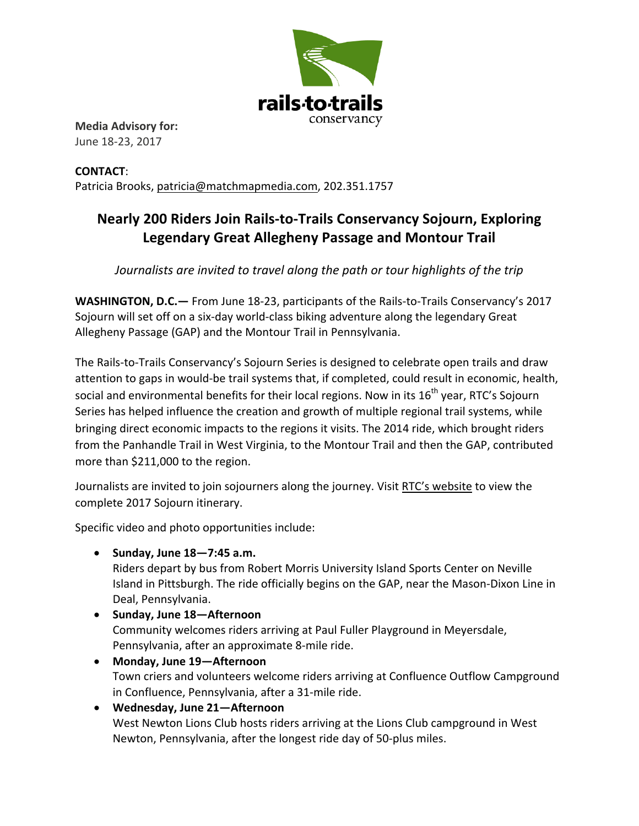

**Media Advisory for:** June 18-23, 2017

**CONTACT**:  Patricia Brooks, patricia@matchmapmedia.com, 202.351.1757

## **Nearly 200 Riders Join Rails-to-Trails Conservancy Sojourn, Exploring** Legendary Great Allegheny Passage and Montour Trail

*Journalists are invited to travel along the path or tour highlights of the trip* 

**WASHINGTON, D.C.**— From June 18-23, participants of the Rails-to-Trails Conservancy's 2017 Sojourn will set off on a six-day world-class biking adventure along the legendary Great Allegheny Passage (GAP) and the Montour Trail in Pennsylvania.

The Rails-to-Trails Conservancy's Sojourn Series is designed to celebrate open trails and draw attention to gaps in would-be trail systems that, if completed, could result in economic, health, social and environmental benefits for their local regions. Now in its  $16^{th}$  year, RTC's Soiourn Series has helped influence the creation and growth of multiple regional trail systems, while bringing direct economic impacts to the regions it visits. The 2014 ride, which brought riders from the Panhandle Trail in West Virginia, to the Montour Trail and then the GAP, contributed more than \$211,000 to the region.

Journalists are invited to join sojourners along the journey. Visit RTC's website to view the complete 2017 Sojourn itinerary.

Specific video and photo opportunities include:

• Sunday, June 18-7:45 a.m.

Riders depart by bus from Robert Morris University Island Sports Center on Neville Island in Pittsburgh. The ride officially begins on the GAP, near the Mason-Dixon Line in Deal, Pennsylvania.

- Sunday, June 18-Afternoon Community welcomes riders arriving at Paul Fuller Playground in Meyersdale, Pennsylvania, after an approximate 8-mile ride.
- Monday, June 19-Afternoon Town criers and volunteers welcome riders arriving at Confluence Outflow Campground in Confluence, Pennsylvania, after a 31-mile ride.
- **Wednesday, June 21—Afternoon**  West Newton Lions Club hosts riders arriving at the Lions Club campground in West Newton, Pennsylvania, after the longest ride day of 50-plus miles.